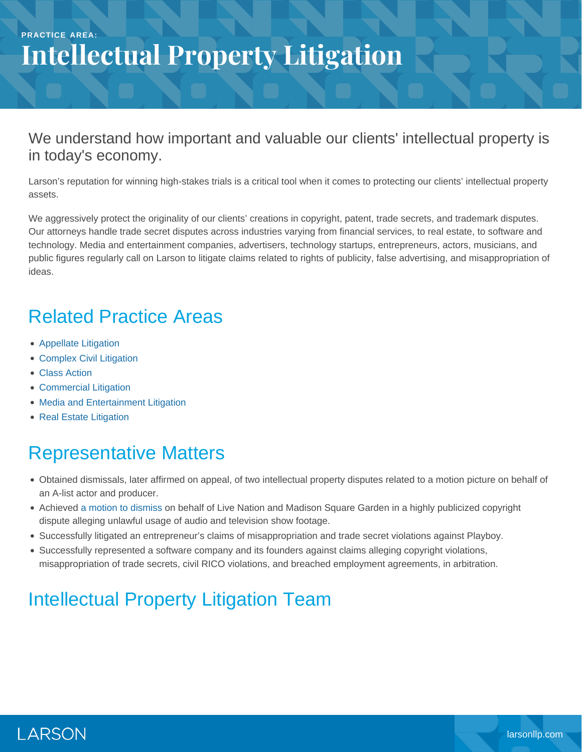#### **PRACTICE AREA: Intellectual Property Litigation**

#### We understand how important and valuable our clients' intellectual property is in today's economy.

Larson's reputation for winning high-stakes trials is a critical tool when it comes to protecting our clients' intellectual property assets.

We aggressively protect the originality of our clients' creations in copyright, patent, trade secrets, and trademark disputes. Our attorneys handle trade secret disputes across industries varying from financial services, to real estate, to software and technology. Media and entertainment companies, advertisers, technology startups, entrepreneurs, actors, musicians, and public figures regularly call on Larson to litigate claims related to rights of publicity, false advertising, and misappropriation of ideas.

### Related Practice Areas

- [Appellate Litigation](https://www.larsonllp.com/practice-areas/appellate-litigation/)
- [Complex Civil Litigation](https://www.larsonllp.com/practice-areas/complex-civil-litigation/)
- [Class Action](https://www.larsonllp.com/practice-areas/complex-civil-litigation/class-action/)
- [Commercial Litigation](https://www.larsonllp.com/practice-areas/complex-civil-litigation/commercial-litigation/)
- [Media and Entertainment Litigation](https://www.larsonllp.com/practice-areas/complex-civil-litigation/media-and-entertainment-litigation/)
- [Real Estate Litigation](https://www.larsonllp.com/practice-areas/complex-civil-litigation/real-estate-litigation/)

## Representative Matters

- Obtained dismissals, later affirmed on appeal, of two intellectual property disputes related to a motion picture on behalf of an A-list actor and producer.
- Achieved [a motion to dismiss](https://www.larsonllp.com/live-nation-others-cut-loose-from-ip-fight/) on behalf of Live Nation and Madison Square Garden in a highly publicized copyright dispute alleging unlawful usage of audio and television show footage.
- Successfully litigated an entrepreneur's claims of misappropriation and trade secret violations against Playboy.
- Successfully represented a software company and its founders against claims alleging copyright violations, misappropriation of trade secrets, civil RICO violations, and breached employment agreements, in arbitration.

# Intellectual Property Litigation Team